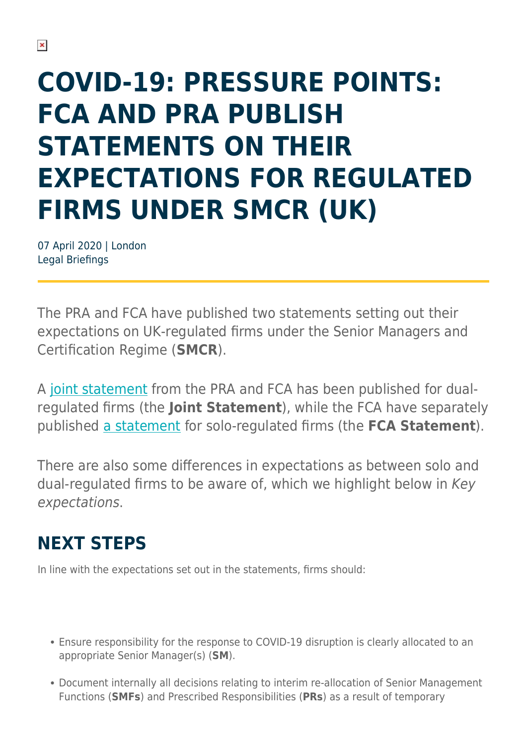# **COVID-19: PRESSURE POINTS: FCA AND PRA PUBLISH STATEMENTS ON THEIR EXPECTATIONS FOR REGULATED FIRMS UNDER SMCR (UK)**

07 April 2020 | London Legal Briefings

The PRA and FCA have published two statements setting out their expectations on UK-regulated firms under the Senior Managers and Certification Regime (**SMCR**).

A [joint statement](https://www.bankofengland.co.uk/-/media/boe/files/prudential-regulation/publication/2020/smcr-and-covid-19-pra-and-fca-expectations-of-firms.pdf) from the PRA and FCA has been published for dualregulated firms (the **Joint Statement**), while the FCA have separately published [a statement](https://www.fca.org.uk/news/statements/smcr-coronavirus-our-expectations-solo-regulated-firms) for solo-regulated firms (the **FCA Statement**).

There are also some differences in expectations as between solo and dual-regulated firms to be aware of, which we highlight below in Key expectations.

### **NEXT STEPS**

In line with the expectations set out in the statements, firms should:

- Ensure responsibility for the response to COVID-19 disruption is clearly allocated to an appropriate Senior Manager(s) (**SM**).
- Document internally all decisions relating to interim re-allocation of Senior Management Functions (**SMFs**) and Prescribed Responsibilities (**PRs**) as a result of temporary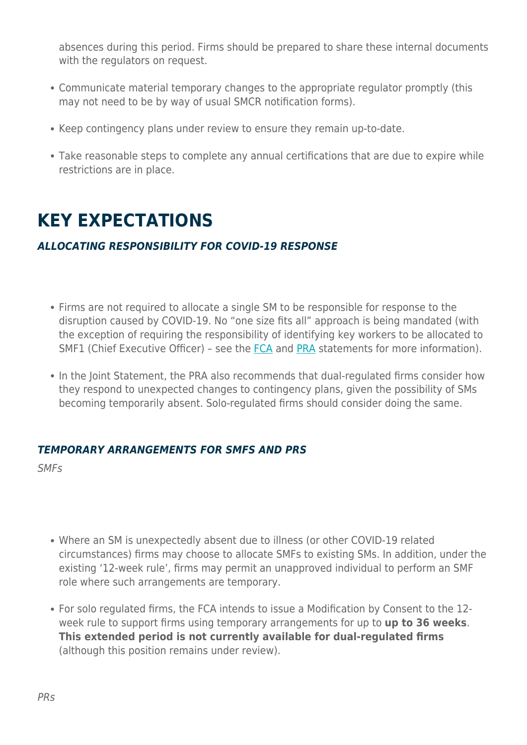absences during this period. Firms should be prepared to share these internal documents with the regulators on request.

- Communicate material temporary changes to the appropriate regulator promptly (this may not need to be by way of usual SMCR notification forms).
- Keep contingency plans under review to ensure they remain up-to-date.
- Take reasonable steps to complete any annual certifications that are due to expire while restrictions are in place.

### **KEY EXPECTATIONS**

#### *ALLOCATING RESPONSIBILITY FOR COVID-19 RESPONSE*

- Firms are not required to allocate a single SM to be responsible for response to the disruption caused by COVID-19. No "one size fits all" approach is being mandated (with the exception of requiring the responsibility of identifying key workers to be allocated to SMF1 (Chief Executive Officer) - see the [FCA](https://www.fca.org.uk/firms/key-workers-financial-services) and [PRA](https://www.bankofengland.co.uk/news/2020/march/guidance-for-schools-colleges-and-local-authorities-on-maintaining-educational-provision) statements for more information).
- In the Joint Statement, the PRA also recommends that dual-regulated firms consider how they respond to unexpected changes to contingency plans, given the possibility of SMs becoming temporarily absent. Solo-regulated firms should consider doing the same.

#### *TEMPORARY ARRANGEMENTS FOR SMFS AND PRS*

SMFs

- Where an SM is unexpectedly absent due to illness (or other COVID-19 related circumstances) firms may choose to allocate SMFs to existing SMs. In addition, under the existing '12-week rule', firms may permit an unapproved individual to perform an SMF role where such arrangements are temporary.
- For solo regulated firms, the FCA intends to issue a Modification by Consent to the 12 week rule to support firms using temporary arrangements for up to **up to 36 weeks**. **This extended period is not currently available for dual-regulated firms** (although this position remains under review).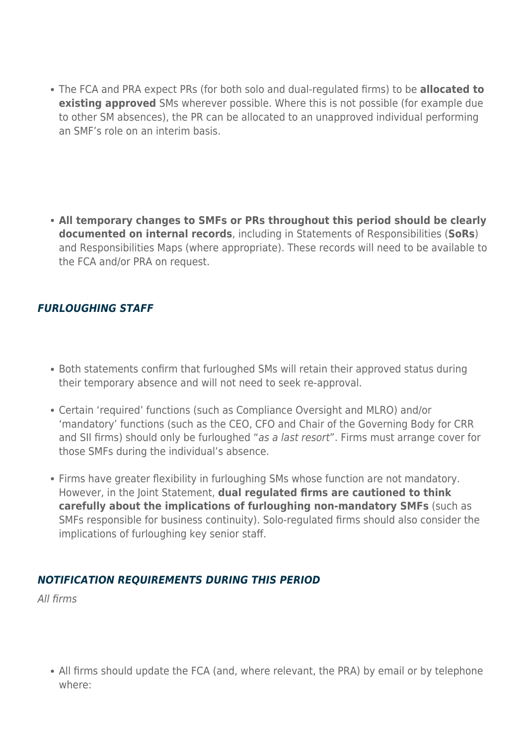The FCA and PRA expect PRs (for both solo and dual-regulated firms) to be **allocated to existing approved** SMs wherever possible. Where this is not possible (for example due to other SM absences), the PR can be allocated to an unapproved individual performing an SMF's role on an interim basis.

**All temporary changes to SMFs or PRs throughout this period should be clearly documented on internal records**, including in Statements of Responsibilities (**SoRs**) and Responsibilities Maps (where appropriate). These records will need to be available to the FCA and/or PRA on request.

#### *FURLOUGHING STAFF*

- Both statements confirm that furloughed SMs will retain their approved status during their temporary absence and will not need to seek re-approval.
- Certain 'required' functions (such as Compliance Oversight and MLRO) and/or 'mandatory' functions (such as the CEO, CFO and Chair of the Governing Body for CRR and SII firms) should only be furloughed "as a last resort". Firms must arrange cover for those SMFs during the individual's absence.
- Firms have greater flexibility in furloughing SMs whose function are not mandatory. However, in the Joint Statement, **dual regulated firms are cautioned to think carefully about the implications of furloughing non-mandatory SMFs** (such as SMFs responsible for business continuity). Solo-regulated firms should also consider the implications of furloughing key senior staff.

#### *NOTIFICATION REQUIREMENTS DURING THIS PERIOD*

All firms

• All firms should update the FCA (and, where relevant, the PRA) by email or by telephone where: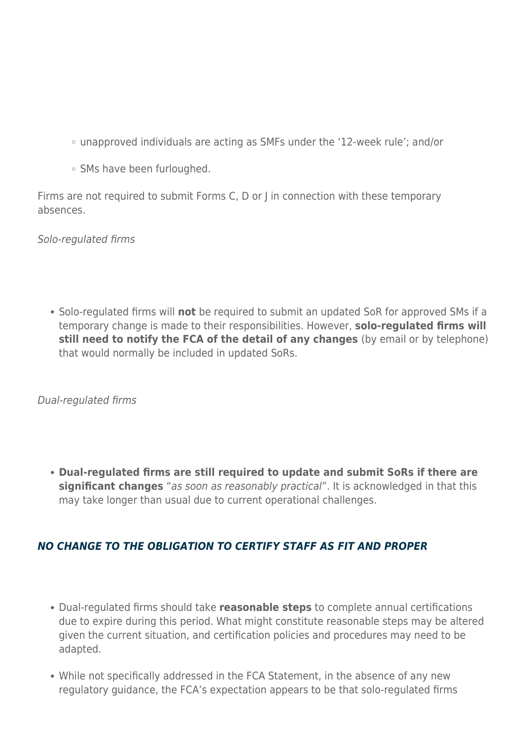- unapproved individuals are acting as SMFs under the '12-week rule'; and/or
- o SMs have been furloughed.

Firms are not required to submit Forms C, D or J in connection with these temporary absences.

Solo-regulated firms

Solo-regulated firms will **not** be required to submit an updated SoR for approved SMs if a temporary change is made to their responsibilities. However, **solo-regulated firms will still need to notify the FCA of the detail of any changes** (by email or by telephone) that would normally be included in updated SoRs.

Dual-regulated firms

**Dual-regulated firms are still required to update and submit SoRs if there are significant changes** "as soon as reasonably practical". It is acknowledged in that this may take longer than usual due to current operational challenges.

#### *NO CHANGE TO THE OBLIGATION TO CERTIFY STAFF AS FIT AND PROPER*

- Dual-regulated firms should take **reasonable steps** to complete annual certifications due to expire during this period. What might constitute reasonable steps may be altered given the current situation, and certification policies and procedures may need to be adapted.
- While not specifically addressed in the FCA Statement, in the absence of any new regulatory guidance, the FCA's expectation appears to be that solo-regulated firms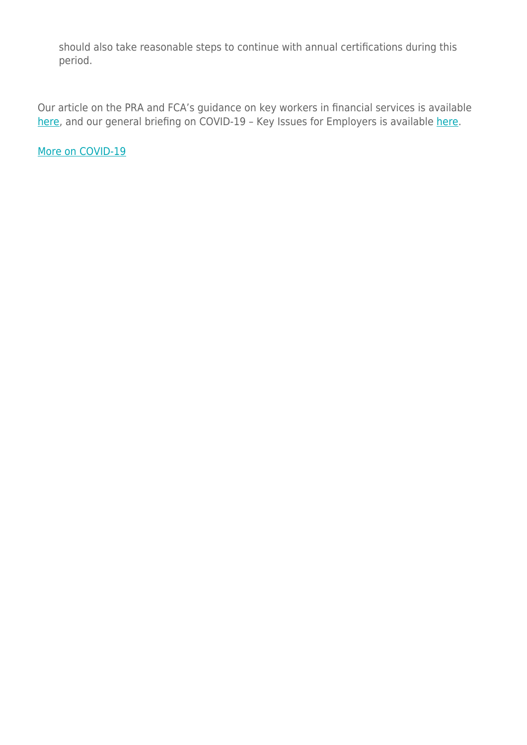should also take reasonable steps to continue with annual certifications during this period.

Our article on the PRA and FCA's guidance on key workers in financial services is available [here](https://www.herbertsmithfreehills.com/latest-thinking/covid-19-people-pra-and-fca-publish-guidance-on-key-workers-in-financial-services-uk), and our general briefing on COVID-19 - Key Issues for Employers is available [here.](https://www.herbertsmithfreehills.com/latest-thinking/covid-19-people-key-issues-for-uk-employers)

[More on COVID-19](https://www.herbertsmithfreehills.com/latest-thinking/navigating-the-covid-19-outbreak)